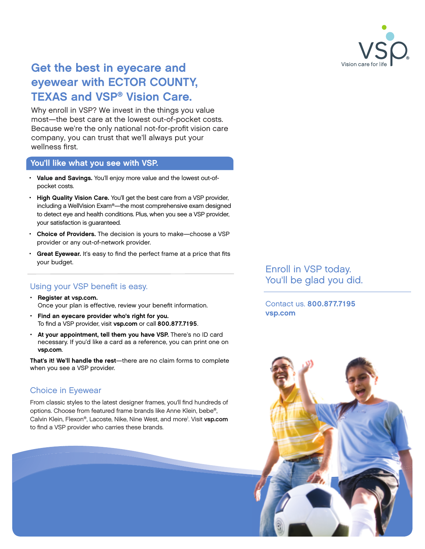

## Get the best in eyecare and eyewear with ECTOR COUNTY, TEXAS and VSP® Vision Care.

Why enroll in VSP? We invest in the things you value most—the best care at the lowest out-of-pocket costs. Because we're the only national not-for-profit vision care company, you can trust that we'll always put your wellness first.

### You'll like what you see with VSP.

- Value and Savings. You'll enjoy more value and the lowest out-ofpocket costs.
- High Quality Vision Care. You'll get the best care from a VSP provider, including a WellVision Exam®—the most comprehensive exam designed to detect eye and health conditions. Plus, when you see a VSP provider, your satisfaction is guaranteed.
- Choice of Providers. The decision is yours to make—choose a VSP provider or any out-of-network provider.
- Great Eyewear. It's easy to find the perfect frame at a price that fits your budget.

## Using your VSP benefit is easy.

- Register at [vsp.com.](http://www.vsp.com) Once your plan is effective, review your benefit information.
- Find an eyecare provider who's right for you. To find a VSP provider, visit [vsp.com](http://www.vsp.com) or call 800.877.7195.
- At your appointment, tell them you have VSP. There's no ID card necessary. If you'd like a card as a reference, you can print one on [vsp.com](http://www.vsp.com).

That's it! We'll handle the rest—there are no claim forms to complete when you see a VSP provider.

## Choice in Eyewear

From classic styles to the latest designer frames, you'll find hundreds of options. Choose from featured frame brands like Anne Klein, bebe®, Calvin Klein, Flexon®, Lacoste, Nike, Nine West, and more<sup>1</sup>. Visit [vsp.com](http://www.vsp.com) to find a VSP provider who carries these brands.

Enroll in VSP today. You'll be glad you did.

Contact us. 800.877.7195 [vsp.com](http://www.vsp.com)